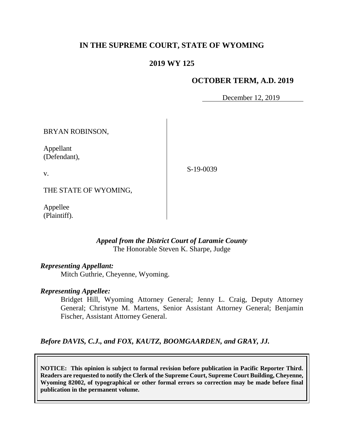# **IN THE SUPREME COURT, STATE OF WYOMING**

## **2019 WY 125**

### **OCTOBER TERM, A.D. 2019**

December 12, 2019

BRYAN ROBINSON, Appellant (Defendant), v. THE STATE OF WYOMING,

Appellee (Plaintiff).

### *Appeal from the District Court of Laramie County* The Honorable Steven K. Sharpe, Judge

### *Representing Appellant:*

Mitch Guthrie, Cheyenne, Wyoming.

#### *Representing Appellee:*

Bridget Hill, Wyoming Attorney General; Jenny L. Craig, Deputy Attorney General; Christyne M. Martens, Senior Assistant Attorney General; Benjamin Fischer, Assistant Attorney General.

*Before DAVIS, C.J., and FOX, KAUTZ, BOOMGAARDEN, and GRAY, JJ.*

**NOTICE: This opinion is subject to formal revision before publication in Pacific Reporter Third. Readers are requested to notify the Clerk of the Supreme Court, Supreme Court Building, Cheyenne, Wyoming 82002, of typographical or other formal errors so correction may be made before final publication in the permanent volume.**

S-19-0039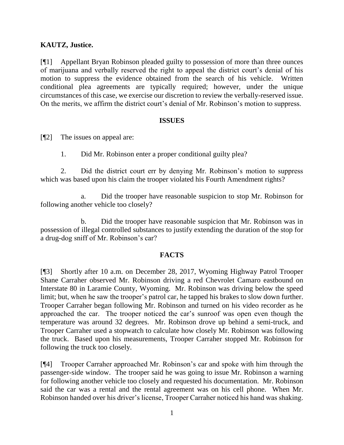## **KAUTZ, Justice.**

[¶1] Appellant Bryan Robinson pleaded guilty to possession of more than three ounces of marijuana and verbally reserved the right to appeal the district court's denial of his motion to suppress the evidence obtained from the search of his vehicle. Written conditional plea agreements are typically required; however, under the unique circumstances of this case, we exercise our discretion to review the verbally-reserved issue. On the merits, we affirm the district court's denial of Mr. Robinson's motion to suppress.

#### **ISSUES**

[¶2] The issues on appeal are:

1. Did Mr. Robinson enter a proper conditional guilty plea?

2. Did the district court err by denying Mr. Robinson's motion to suppress which was based upon his claim the trooper violated his Fourth Amendment rights?

a. Did the trooper have reasonable suspicion to stop Mr. Robinson for following another vehicle too closely?

b. Did the trooper have reasonable suspicion that Mr. Robinson was in possession of illegal controlled substances to justify extending the duration of the stop for a drug-dog sniff of Mr. Robinson's car?

### **FACTS**

[¶3] Shortly after 10 a.m. on December 28, 2017, Wyoming Highway Patrol Trooper Shane Carraher observed Mr. Robinson driving a red Chevrolet Camaro eastbound on Interstate 80 in Laramie County, Wyoming. Mr. Robinson was driving below the speed limit; but, when he saw the trooper's patrol car, he tapped his brakes to slow down further. Trooper Carraher began following Mr. Robinson and turned on his video recorder as he approached the car. The trooper noticed the car's sunroof was open even though the temperature was around 32 degrees. Mr. Robinson drove up behind a semi-truck, and Trooper Carraher used a stopwatch to calculate how closely Mr. Robinson was following the truck. Based upon his measurements, Trooper Carraher stopped Mr. Robinson for following the truck too closely.

[¶4] Trooper Carraher approached Mr. Robinson's car and spoke with him through the passenger-side window. The trooper said he was going to issue Mr. Robinson a warning for following another vehicle too closely and requested his documentation. Mr. Robinson said the car was a rental and the rental agreement was on his cell phone. When Mr. Robinson handed over his driver's license, Trooper Carraher noticed his hand was shaking.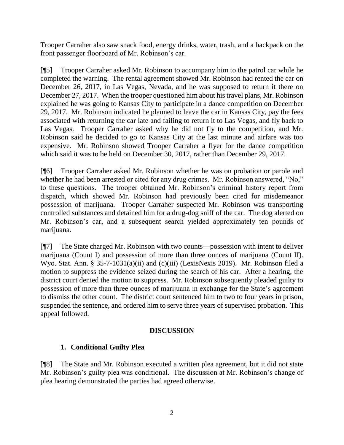Trooper Carraher also saw snack food, energy drinks, water, trash, and a backpack on the front passenger floorboard of Mr. Robinson's car.

[¶5] Trooper Carraher asked Mr. Robinson to accompany him to the patrol car while he completed the warning. The rental agreement showed Mr. Robinson had rented the car on December 26, 2017, in Las Vegas, Nevada, and he was supposed to return it there on December 27, 2017. When the trooper questioned him about his travel plans, Mr. Robinson explained he was going to Kansas City to participate in a dance competition on December 29, 2017. Mr. Robinson indicated he planned to leave the car in Kansas City, pay the fees associated with returning the car late and failing to return it to Las Vegas, and fly back to Las Vegas. Trooper Carraher asked why he did not fly to the competition, and Mr. Robinson said he decided to go to Kansas City at the last minute and airfare was too expensive. Mr. Robinson showed Trooper Carraher a flyer for the dance competition which said it was to be held on December 30, 2017, rather than December 29, 2017.

[¶6] Trooper Carraher asked Mr. Robinson whether he was on probation or parole and whether he had been arrested or cited for any drug crimes. Mr. Robinson answered, "No," to these questions. The trooper obtained Mr. Robinson's criminal history report from dispatch, which showed Mr. Robinson had previously been cited for misdemeanor possession of marijuana. Trooper Carraher suspected Mr. Robinson was transporting controlled substances and detained him for a drug-dog sniff of the car. The dog alerted on Mr. Robinson's car, and a subsequent search yielded approximately ten pounds of marijuana.

[¶7] The State charged Mr. Robinson with two counts—possession with intent to deliver marijuana (Count I) and possession of more than three ounces of marijuana (Count II). Wyo. Stat. Ann. § 35-7-1031(a)(ii) and (c)(iii) (LexisNexis 2019). Mr. Robinson filed a motion to suppress the evidence seized during the search of his car. After a hearing, the district court denied the motion to suppress. Mr. Robinson subsequently pleaded guilty to possession of more than three ounces of marijuana in exchange for the State's agreement to dismiss the other count. The district court sentenced him to two to four years in prison, suspended the sentence, and ordered him to serve three years of supervised probation. This appeal followed.

## **DISCUSSION**

## **1. Conditional Guilty Plea**

[¶8] The State and Mr. Robinson executed a written plea agreement, but it did not state Mr. Robinson's guilty plea was conditional. The discussion at Mr. Robinson's change of plea hearing demonstrated the parties had agreed otherwise.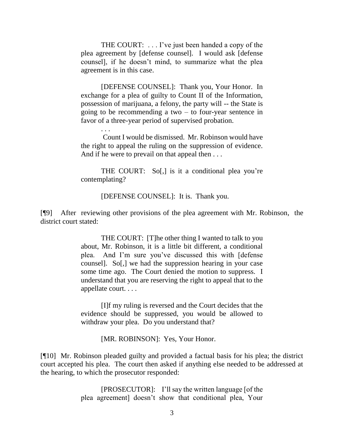THE COURT: . . . I've just been handed a copy of the plea agreement by [defense counsel]. I would ask [defense counsel], if he doesn't mind, to summarize what the plea agreement is in this case.

[DEFENSE COUNSEL]: Thank you, Your Honor. In exchange for a plea of guilty to Count II of the Information, possession of marijuana, a felony, the party will -- the State is going to be recommending a two – to four-year sentence in favor of a three-year period of supervised probation.

Count I would be dismissed. Mr. Robinson would have the right to appeal the ruling on the suppression of evidence. And if he were to prevail on that appeal then . . .

. . .

THE COURT: So[,] is it a conditional plea you're contemplating?

[DEFENSE COUNSEL]: It is. Thank you.

[¶9] After reviewing other provisions of the plea agreement with Mr. Robinson, the district court stated:

> THE COURT: [T]he other thing I wanted to talk to you about, Mr. Robinson, it is a little bit different, a conditional plea. And I'm sure you've discussed this with [defense counsel]. So[,] we had the suppression hearing in your case some time ago. The Court denied the motion to suppress. I understand that you are reserving the right to appeal that to the appellate court. . . .

> [I]f my ruling is reversed and the Court decides that the evidence should be suppressed, you would be allowed to withdraw your plea. Do you understand that?

> > [MR. ROBINSON]: Yes, Your Honor.

[¶10] Mr. Robinson pleaded guilty and provided a factual basis for his plea; the district court accepted his plea. The court then asked if anything else needed to be addressed at the hearing, to which the prosecutor responded:

> [PROSECUTOR]: I'll say the written language [of the plea agreement] doesn't show that conditional plea, Your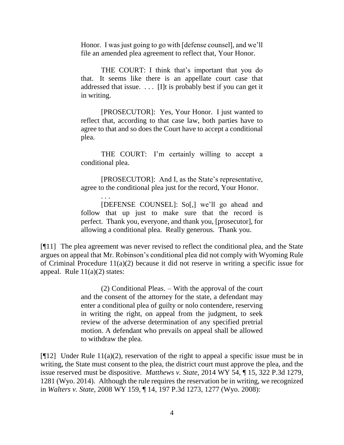Honor. I was just going to go with [defense counsel], and we'll file an amended plea agreement to reflect that, Your Honor.

THE COURT: I think that's important that you do that. It seems like there is an appellate court case that addressed that issue.  $\ldots$  [I]t is probably best if you can get it in writing.

[PROSECUTOR]: Yes, Your Honor. I just wanted to reflect that, according to that case law, both parties have to agree to that and so does the Court have to accept a conditional plea.

THE COURT: I'm certainly willing to accept a conditional plea.

[PROSECUTOR]: And I, as the State's representative, agree to the conditional plea just for the record, Your Honor.

. . . [DEFENSE COUNSEL]: So[,] we'll go ahead and follow that up just to make sure that the record is perfect. Thank you, everyone, and thank you, [prosecutor], for allowing a conditional plea. Really generous. Thank you.

[¶11] The plea agreement was never revised to reflect the conditional plea, and the State argues on appeal that Mr. Robinson's conditional plea did not comply with Wyoming Rule of Criminal Procedure 11(a)(2) because it did not reserve in writing a specific issue for appeal. Rule  $11(a)(2)$  states:

> (2) Conditional Pleas. – With the approval of the court and the consent of the attorney for the state, a defendant may enter a conditional plea of guilty or nolo contendere, reserving in writing the right, on appeal from the judgment, to seek review of the adverse determination of any specified pretrial motion. A defendant who prevails on appeal shall be allowed to withdraw the plea.

[ $[12]$  Under Rule 11(a)(2), reservation of the right to appeal a specific issue must be in writing, the State must consent to the plea, the district court must approve the plea, and the issue reserved must be dispositive. *Matthews v. State,* 2014 WY 54, ¶ 15, 322 P.3d 1279, 1281 (Wyo. 2014). Although the rule requires the reservation be in writing, we recognized in *Walters v. State,* 2008 WY 159, ¶ 14, 197 P.3d 1273, 1277 (Wyo. 2008):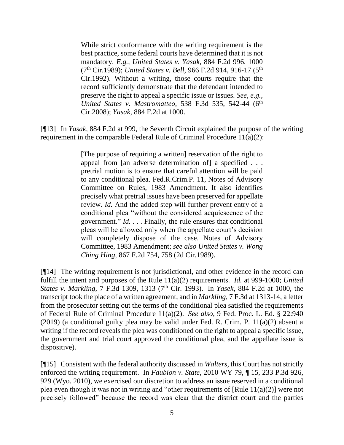While strict conformance with the writing requirement is the best practice, some federal courts have determined that it is not mandatory. *E.g., [United States v. Yasak,](http://www.westlaw.com/Link/Document/FullText?findType=Y&serNum=1989130350&pubNum=0000350&originatingDoc=Ibe2b9662d78611ddb6a3a099756c05b7&refType=RP&fi=co_pp_sp_350_1000&originationContext=document&vr=3.0&rs=cblt1.0&transitionType=DocumentItem&contextData=(sc.UserEnteredCitation)#co_pp_sp_350_1000)* 884 F.2d 996, 1000 (7th [Cir.1989\);](http://www.westlaw.com/Link/Document/FullText?findType=Y&serNum=1989130350&pubNum=0000350&originatingDoc=Ibe2b9662d78611ddb6a3a099756c05b7&refType=RP&fi=co_pp_sp_350_1000&originationContext=document&vr=3.0&rs=cblt1.0&transitionType=DocumentItem&contextData=(sc.UserEnteredCitation)#co_pp_sp_350_1000) *United States v. Bell,* [966 F.2d 914, 916-17 \(5](http://www.westlaw.com/Link/Document/FullText?findType=Y&serNum=1992120659&pubNum=0000350&originatingDoc=Ibe2b9662d78611ddb6a3a099756c05b7&refType=RP&fi=co_pp_sp_350_916&originationContext=document&vr=3.0&rs=cblt1.0&transitionType=DocumentItem&contextData=(sc.UserEnteredCitation)#co_pp_sp_350_916)th [Cir.1992\).](http://www.westlaw.com/Link/Document/FullText?findType=Y&serNum=1992120659&pubNum=0000350&originatingDoc=Ibe2b9662d78611ddb6a3a099756c05b7&refType=RP&fi=co_pp_sp_350_916&originationContext=document&vr=3.0&rs=cblt1.0&transitionType=DocumentItem&contextData=(sc.UserEnteredCitation)#co_pp_sp_350_916) Without a writing, those courts require that the record sufficiently demonstrate that the defendant intended to preserve the right to appeal a specific issue or issues. *See, e.g., [United States v. Mastromatteo,](http://www.westlaw.com/Link/Document/FullText?findType=Y&serNum=2016776496&pubNum=0000506&originatingDoc=Ibe2b9662d78611ddb6a3a099756c05b7&refType=RP&fi=co_pp_sp_506_542&originationContext=document&vr=3.0&rs=cblt1.0&transitionType=DocumentItem&contextData=(sc.UserEnteredCitation)#co_pp_sp_506_542)* 538 F.3d 535, 542-44 (6<sup>th</sup> [Cir.2008\);](http://www.westlaw.com/Link/Document/FullText?findType=Y&serNum=2016776496&pubNum=0000506&originatingDoc=Ibe2b9662d78611ddb6a3a099756c05b7&refType=RP&fi=co_pp_sp_506_542&originationContext=document&vr=3.0&rs=cblt1.0&transitionType=DocumentItem&contextData=(sc.UserEnteredCitation)#co_pp_sp_506_542) *Yasak,* [884 F.2d at 1000.](http://www.westlaw.com/Link/Document/FullText?findType=Y&serNum=1989130350&pubNum=350&originatingDoc=Ibe2b9662d78611ddb6a3a099756c05b7&refType=RP&fi=co_pp_sp_350_1000&originationContext=document&vr=3.0&rs=cblt1.0&transitionType=DocumentItem&contextData=(sc.UserEnteredCitation)#co_pp_sp_350_1000)

[¶13] In *Yasak,* 884 F.2d at 999, the Seventh Circuit explained the purpose of the writing requirement in the comparable Federal Rule of Criminal Procedure 11(a)(2):

> [The purpose of requiring a written] reservation of the right to appeal from [an adverse determination of] a specified . . . pretrial motion is to ensure that careful attention will be paid to any conditional plea. [Fed.R.Crim.P. 11,](http://www.westlaw.com/Link/Document/FullText?findType=L&pubNum=1004365&cite=USFRCRPR11&originatingDoc=I3897afc2971611d9a707f4371c9c34f0&refType=LQ&originationContext=document&vr=3.0&rs=cblt1.0&transitionType=DocumentItem&contextData=(sc.DocLink)) Notes of Advisory Committee on Rules, 1983 Amendment. It also identifies precisely what pretrial issues have been preserved for appellate review. *Id.* And the added step will further prevent entry of a conditional plea "without the considered acquiescence of the government." *Id.* . . . Finally, the rule ensures that conditional pleas will be allowed only when the appellate court's decision will completely dispose of the case. Notes of Advisory Committee, 1983 Amendment; *see also United States v. Wong Ching Hing,* 867 F.2d 754, 758 (2d Cir.1989).

[¶14] The writing requirement is not jurisdictional, and other evidence in the record can fulfill the intent and purposes of the Rule 11(a)(2) requirements. *Id.* at 999-1000; *United States v. Markling,* 7 F.3d 1309, 1313 (7<sup>th</sup> Cir. 1993). In *Yasek*, 884 F.2d at 1000, the transcript took the place of a written agreement, and in *Markling,* 7 F.3d at 1313-14, a letter from the prosecutor setting out the terms of the conditional plea satisfied the requirements of Federal Rule of Criminal Procedure 11(a)(2). *See also*, 9 Fed. Proc. L. Ed. § 22:940 (2019) (a conditional guilty plea may be valid under Fed. R. Crim. P. 11(a)(2) absent a writing if the record reveals the plea was conditioned on the right to appeal a specific issue, the government and trial court approved the conditional plea, and the appellate issue is dispositive).

[¶15] Consistent with the federal authority discussed in *Walters,* this Court has not strictly enforced the writing requirement. In *Faubion v. State,* 2010 WY 79, ¶ 15, 233 P.3d 926, 929 (Wyo. 2010), we exercised our discretion to address an issue reserved in a conditional plea even though it was not in writing and "other requirements of [Rule 11(a)(2)] were not precisely followed" because the record was clear that the district court and the parties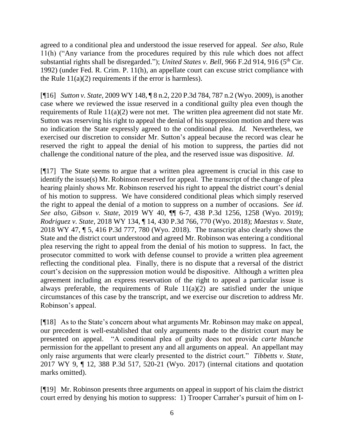agreed to a conditional plea and understood the issue reserved for appeal. *See also*, Rule 11(h) ("Any variance from the procedures required by this rule which does not affect substantial rights shall be disregarded."); *United States v. Bell*, 966 F.2d 914, 916 (5<sup>th</sup> Cir. 1992) (under Fed. R. Crim. P. 11(h), an appellate court can excuse strict compliance with the Rule  $11(a)(2)$  requirements if the error is harmless).

[¶16] *Sutton v. State,* 2009 WY 148, ¶ 8 n.2, 220 P.3d 784, 787 n.2 (Wyo. 2009), is another case where we reviewed the issue reserved in a conditional guilty plea even though the requirements of Rule 11(a)(2) were not met. The written plea agreement did not state Mr. Sutton was reserving his right to appeal the denial of his suppression motion and there was no indication the State expressly agreed to the conditional plea. *Id.* Nevertheless, we exercised our discretion to consider Mr. Sutton's appeal because the record was clear he reserved the right to appeal the denial of his motion to suppress, the parties did not challenge the conditional nature of the plea, and the reserved issue was dispositive. *Id.* 

[¶17] The State seems to argue that a written plea agreement is crucial in this case to identify the issue(s) Mr. Robinson reserved for appeal. The transcript of the change of plea hearing plainly shows Mr. Robinson reserved his right to appeal the district court's denial of his motion to suppress. We have considered conditional pleas which simply reserved the right to appeal the denial of a motion to suppress on a number of occasions. *See id. See also*, *Gibson v. State,* 2019 WY 40, ¶¶ 6-7, 438 P.3d 1256, 1258 (Wyo. 2019); *Rodriguez v. State,* 2018 WY 134, ¶ 14, 430 P.3d 766, 770 (Wyo. 2018); *Maestas v. State,*  2018 WY 47, ¶ 5, 416 P.3d 777, 780 (Wyo. 2018). The transcript also clearly shows the State and the district court understood and agreed Mr. Robinson was entering a conditional plea reserving the right to appeal from the denial of his motion to suppress. In fact, the prosecutor committed to work with defense counsel to provide a written plea agreement reflecting the conditional plea. Finally, there is no dispute that a reversal of the district court's decision on the suppression motion would be dispositive. Although a written plea agreement including an express reservation of the right to appeal a particular issue is always preferable, the requirements of Rule  $11(a)(2)$  are satisfied under the unique circumstances of this case by the transcript, and we exercise our discretion to address Mr. Robinson's appeal.

[¶18] As to the State's concern about what arguments Mr. Robinson may make on appeal, our precedent is well-established that only arguments made to the district court may be presented on appeal. "A conditional plea of guilty does not provide *carte blanche* permission for the appellant to present any and all arguments on appeal. An appellant may only raise arguments that were clearly presented to the district court." *Tibbetts v. State,*  2017 WY 9, ¶ 12, 388 P.3d 517, 520-21 (Wyo. 2017) (internal citations and quotation marks omitted).

[¶19] Mr. Robinson presents three arguments on appeal in support of his claim the district court erred by denying his motion to suppress: 1) Trooper Carraher's pursuit of him on I-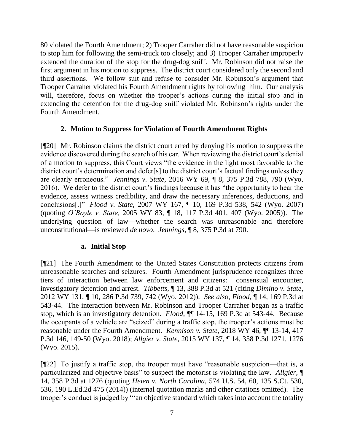80 violated the Fourth Amendment; 2) Trooper Carraher did not have reasonable suspicion to stop him for following the semi-truck too closely; and 3) Trooper Carraher improperly extended the duration of the stop for the drug-dog sniff. Mr. Robinson did not raise the first argument in his motion to suppress. The district court considered only the second and third assertions. We follow suit and refuse to consider Mr. Robinson's argument that Trooper Carraher violated his Fourth Amendment rights by following him. Our analysis will, therefore, focus on whether the trooper's actions during the initial stop and in extending the detention for the drug-dog sniff violated Mr. Robinson's rights under the Fourth Amendment.

## **2. Motion to Suppress for Violation of Fourth Amendment Rights**

[¶20] Mr. Robinson claims the district court erred by denying his motion to suppress the evidence discovered during the search of his car. When reviewing the district court's denial of a motion to suppress, this Court views "the evidence in the light most favorable to the district court's determination and defer[s] to the district court's factual findings unless they are clearly erroneous." *Jennings v. State,* 2016 WY 69, ¶ 8, 375 P.3d 788, 790 (Wyo. 2016). We defer to the district court's findings because it has "the opportunity to hear the evidence, assess witness credibility, and draw the necessary inferences, deductions, and conclusions[.]" *Flood v. State,* 2007 WY 167, ¶ 10, 169 P.3d 538, 542 (Wyo. 2007) (quoting *O'Boyle v. State,* 2005 WY 83, ¶ 18, 117 P.3d 401, 407 (Wyo. 2005)). The underlying question of law—whether the search was unreasonable and therefore unconstitutional—is reviewed *de novo*. *Jennings,* ¶ 8, 375 P.3d at 790.

# **a. Initial Stop**

[¶21] The Fourth Amendment to the United States Constitution protects citizens from unreasonable searches and seizures. Fourth Amendment jurisprudence recognizes three tiers of interaction between law enforcement and citizens: consensual encounter, investigatory detention and arrest. *Tibbetts,* ¶ 13, 388 P.3d at 521 (citing *Dimino v. State*, 2012 WY 131, ¶ 10, 286 P.3d 739, 742 (Wyo. 2012)). *See also*, *Flood,* ¶ 14, 169 P.3d at 543-44. The interaction between Mr. Robinson and Trooper Carraher began as a traffic stop, which is an investigatory detention. *Flood,* ¶¶ 14-15, 169 P.3d at 543-44. Because the occupants of a vehicle are "seized" during a traffic stop, the trooper's actions must be reasonable under the Fourth Amendment. *Kennison v. State,* 2018 WY 46, ¶¶ 13-14, 417 P.3d 146, 149-50 (Wyo. 2018); *Allgier v. State,* 2015 WY 137, ¶ 14, 358 P.3d 1271, 1276 (Wyo. 2015).

[¶22] To justify a traffic stop, the trooper must have "reasonable suspicion—that is, a particularized and objective basis" to suspect the motorist is violating the law. *Allgier,* ¶ 14, 358 P.3d at 1276 (quoting *Heien v. North Carolina,* 574 U.S. 54, 60, 135 S.Ct. 530, 536, 190 L.Ed.2d 475 (2014)) (internal quotation marks and other citations omitted). The trooper's conduct is judged by "'an objective standard which takes into account the totality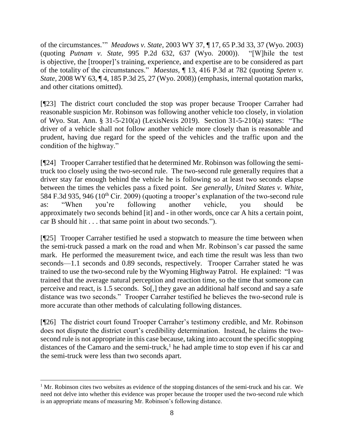of the circumstances.'" *Meadows v. State,* 2003 WY 37, ¶ 17, 65 P.3d 33, 37 (Wyo. 2003) (quoting *Putnam v. State,* 995 P.2d 632, 637 (Wyo. 2000)). "[W]hile the test is objective, the [trooper]'s training, experience, and expertise are to be considered as part of the totality of the circumstances." *Maestas,* ¶ 13, 416 P.3d at 782 (quoting *Speten v. State,* 2008 WY 63, ¶ 4, 185 P.3d 25, 27 (Wyo. 2008)) (emphasis, internal quotation marks, and other citations omitted).

[¶23] The district court concluded the stop was proper because Trooper Carraher had reasonable suspicion Mr. Robinson was following another vehicle too closely, in violation of Wyo. Stat. Ann. § 31-5-210(a) (LexisNexis 2019). Section 31-5-210(a) states: "The driver of a vehicle shall not follow another vehicle more closely than is reasonable and prudent, having due regard for the speed of the vehicles and the traffic upon and the condition of the highway."

[¶24] Trooper Carraher testified that he determined Mr. Robinson was following the semitruck too closely using the two-second rule. The two-second rule generally requires that a driver stay far enough behind the vehicle he is following so at least two seconds elapse between the times the vehicles pass a fixed point. *See generally, United States v. White,*  584 F.3d 935, 946 (10<sup>th</sup> Cir. 2009) (quoting a trooper's explanation of the two-second rule as: "When you're following another vehicle, you should be approximately two seconds behind [it] and - in other words, once car A hits a certain point, car B should hit . . . that same point in about two seconds.").

[¶25] Trooper Carraher testified he used a stopwatch to measure the time between when the semi-truck passed a mark on the road and when Mr. Robinson's car passed the same mark. He performed the measurement twice, and each time the result was less than two seconds—1.1 seconds and 0.89 seconds, respectively. Trooper Carraher stated he was trained to use the two-second rule by the Wyoming Highway Patrol. He explained: "I was trained that the average natural perception and reaction time, so the time that someone can perceive and react, is 1.5 seconds. So[,] they gave an additional half second and say a safe distance was two seconds." Trooper Carraher testified he believes the two-second rule is more accurate than other methods of calculating following distances.

[¶26] The district court found Trooper Carraher's testimony credible, and Mr. Robinson does not dispute the district court's credibility determination. Instead, he claims the twosecond rule is not appropriate in this case because, taking into account the specific stopping distances of the Camaro and the semi-truck,<sup>1</sup> he had ample time to stop even if his car and the semi-truck were less than two seconds apart.

 $1$  Mr. Robinson cites two websites as evidence of the stopping distances of the semi-truck and his car. We need not delve into whether this evidence was proper because the trooper used the two-second rule which is an appropriate means of measuring Mr. Robinson's following distance.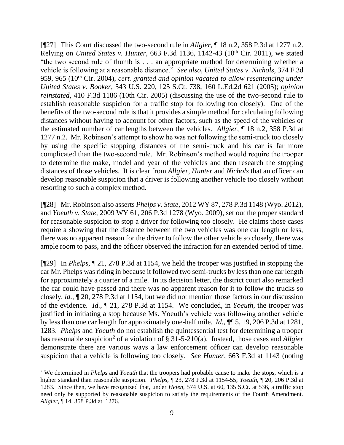[¶27] This Court discussed the two-second rule in *Allgier,* ¶ 18 n.2, 358 P.3d at 1277 n.2. Relying on *United States v. Hunter,* 663 F.3d 1136, 1142-43 (10th Cir. 2011), we stated "the two second rule of thumb is . . . an appropriate method for determining whether a vehicle is following at a reasonable distance." *See also, United States v. Nichols,* 374 F.3d 959, 965 (10<sup>th</sup> Cir. 2004), *cert. granted and opinion vacated to allow resentencing under United States v. Booker,* 543 U.S. 220, 125 S.Ct. 738, 160 L.Ed.2d 621 (2005); *opinion reinstated,* 410 F.3d 1186 (10th Cir. 2005) (discussing the use of the two-second rule to establish reasonable suspicion for a traffic stop for following too closely). One of the benefits of the two-second rule is that it provides a simple method for calculating following distances without having to account for other factors, such as the speed of the vehicles or the estimated number of car lengths between the vehicles. *Allgier,* ¶ 18 n.2, 358 P.3d at 1277 n.2. Mr. Robinson's attempt to show he was not following the semi-truck too closely by using the specific stopping distances of the semi-truck and his car is far more complicated than the two-second rule. Mr. Robinson's method would require the trooper to determine the make, model and year of the vehicles and then research the stopping distances of those vehicles. It is clear from *Allgier, Hunter* and *Nichols* that an officer can develop reasonable suspicion that a driver is following another vehicle too closely without resorting to such a complex method.

[¶28] Mr. Robinson also asserts *Phelps v. State,* 2012 WY 87, 278 P.3d 1148 (Wyo. 2012), and *Yoeuth v. State,* 2009 WY 61, 206 P.3d 1278 (Wyo. 2009), set out the proper standard for reasonable suspicion to stop a driver for following too closely. He claims those cases require a showing that the distance between the two vehicles was one car length or less, there was no apparent reason for the driver to follow the other vehicle so closely, there was ample room to pass, and the officer observed the infraction for an extended period of time.

[¶29] In *Phelps,* ¶ 21, 278 P.3d at 1154, we held the trooper was justified in stopping the car Mr. Phelps was riding in because it followed two semi-trucks by less than one car length for approximately a quarter of a mile. In its decision letter, the district court also remarked the car could have passed and there was no apparent reason for it to follow the trucks so closely, *id.,* ¶ 20, 278 P.3d at 1154, but we did not mention those factors in our discussion of the evidence. *Id.,* ¶ 21, 278 P.3d at 1154. We concluded, in *Yoeuth,* the trooper was justified in initiating a stop because Ms. Yoeuth's vehicle was following another vehicle by less than one car length for approximately one-half mile. *Id.,* ¶¶ 5, 19, 206 P.3d at 1281, 1283. *Phelps* and *Yoeuth* do not establish the quintessential test for determining a trooper has reasonable suspicion<sup>2</sup> of a violation of § 31-5-210(a). Instead, those cases and *Allgier* demonstrate there are various ways a law enforcement officer can develop reasonable suspicion that a vehicle is following too closely. *See Hunter,* 663 F.3d at 1143 (noting

<sup>2</sup> We determined in *Phelps* and *Yoeuth* that the troopers had probable cause to make the stops, which is a higher standard than reasonable suspicion. *Phelps,* ¶ 23, 278 P.3d at 1154-55; *Yoeuth,* ¶ 20, 206 P.3d at 1283. Since then, we have recognized that, under *Heien,* 574 U.S. at 60, 135 S.Ct. at 536, a traffic stop need only be supported by reasonable suspicion to satisfy the requirements of the Fourth Amendment. *Allgier,* ¶ 14, 358 P.3d at 1276.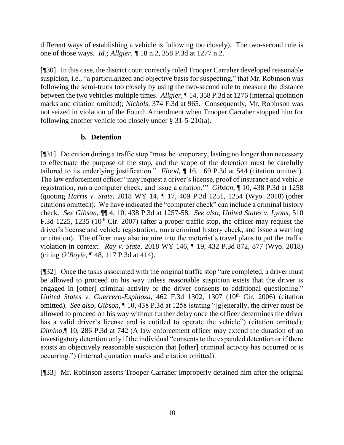different ways of establishing a vehicle is following too closely). The two-second rule is one of those ways. *Id.; Allgier, ¶* 18 n.2, 358 P.3d at 1277 n.2.

[¶30] In this case, the district court correctly ruled Trooper Carraher developed reasonable suspicion, i.e., "a particularized and objective basis for suspecting," that Mr. Robinson was following the semi-truck too closely by using the two-second rule to measure the distance between the two vehicles multiple times. *Allgier,* ¶ 14, 358 P.3d at 1276 (internal quotation marks and citation omitted); *Nichols,* 374 F.3d at 965. Consequently, Mr. Robinson was not seized in violation of the Fourth Amendment when Trooper Carraher stopped him for following another vehicle too closely under § 31-5-210(a).

## **b. Detention**

[¶31] Detention during a traffic stop "must be temporary, lasting no longer than necessary to effectuate the purpose of the stop, and the scope of the detention must be carefully tailored to its underlying justification." *Flood,* ¶ 16, 169 P.3d at 544 (citation omitted). The law enforcement officer "may request a driver's license, proof of insurance and vehicle registration, run a computer check, and issue a citation.'" *Gibson,* ¶ 10, 438 P.3d at 1258 (quoting *Harris v. State*, 2018 WY 14, ¶ 17, 409 P.3d 1251, 1254 (Wyo. 2018) (other citations omitted)). We have indicated the "computer check" can include a criminal history check. *See Gibson,* ¶¶ 4, 10, 438 P.3d at 1257-58. *See also, United States v. Lyons,* 510 F.3d 1225, 1235 (10<sup>th</sup> Cir. 2007) (after a proper traffic stop, the officer may request the driver's license and vehicle registration, run a criminal history check, and issue a warning or citation). The officer may also inquire into the motorist's travel plans to put the traffic violation in context. *Ray v. State,* 2018 WY 146, ¶ 19, 432 P.3d 872, 877 (Wyo. 2018) (citing *O'Boyle*, ¶ 48, 117 P.3d at 414).

[¶32] Once the tasks associated with the original traffic stop "are completed, a driver must be allowed to proceed on his way unless reasonable suspicion exists that the driver is engaged in [other] criminal activity or the driver consents to additional questioning." *United States v. Guerrero-Espinoza, 462 F.3d 1302, 1307 (10<sup>th</sup> Cir. 2006) (citation* omitted). *See also, Gibson,* ¶ 10, 438 P.3d at 1258 (stating "[g]enerally, the driver must be allowed to proceed on his way without further delay once the officer determines the driver has a valid driver's license and is entitled to operate the vehicle") (citation omitted); *Dimino,*¶ 10, 286 P.3d at 742 (A law enforcement officer may extend the duration of an investigatory detention only if the individual "consents to the expanded detention or if there exists an objectively reasonable suspicion that [other] criminal activity has occurred or is occurring.") (internal quotation marks and citation omitted).

[¶33] Mr. Robinson asserts Trooper Carraher improperly detained him after the original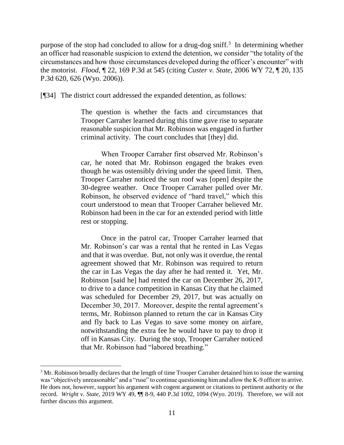purpose of the stop had concluded to allow for a drug-dog sniff.<sup>3</sup> In determining whether an officer had reasonable suspicion to extend the detention, we consider "the totality of the circumstances and how those circumstances developed during the officer's encounter" with the motorist. *Flood,* ¶ 22, 169 P.3d at 545 (citing *Custer v. State,* 2006 WY 72, ¶ 20, 135 P.3d 620, 626 (Wyo. 2006)).

[¶34] The district court addressed the expanded detention, as follows:

The question is whether the facts and circumstances that Trooper Carraher learned during this time gave rise to separate reasonable suspicion that Mr. Robinson was engaged in further criminal activity. The court concludes that [they] did.

When Trooper Carraher first observed Mr. Robinson's car, he noted that Mr. Robinson engaged the brakes even though he was ostensibly driving under the speed limit. Then, Trooper Carraher noticed the sun roof was [open] despite the 30-degree weather. Once Trooper Carraher pulled over Mr. Robinson, he observed evidence of "hard travel," which this court understood to mean that Trooper Carraher believed Mr. Robinson had been in the car for an extended period with little rest or stopping.

Once in the patrol car, Trooper Carraher learned that Mr. Robinson's car was a rental that he rented in Las Vegas and that it was overdue. But, not only was it overdue, the rental agreement showed that Mr. Robinson was required to return the car in Las Vegas the day after he had rented it. Yet, Mr. Robinson [said he] had rented the car on December 26, 2017, to drive to a dance competition in Kansas City that he claimed was scheduled for December 29, 2017, but was actually on December 30, 2017. Moreover, despite the rental agreement's terms, Mr. Robinson planned to return the car in Kansas City and fly back to Las Vegas to save some money on airfare, notwithstanding the extra fee he would have to pay to drop it off in Kansas City. During the stop, Trooper Carraher noticed that Mr. Robinson had "labored breathing."

<sup>&</sup>lt;sup>3</sup> Mr. Robinson broadly declares that the length of time Trooper Carraher detained him to issue the warning was "objectively unreasonable" and a "ruse" to continue questioning him and allow the K-9 officer to arrive. He does not, however, support his argument with cogent argument or citations to pertinent authority or the record. *Wright v. State,* 2019 WY 49, ¶¶ 8-9, 440 P.3d 1092, 1094 (Wyo. 2019). Therefore, we will not further discuss this argument.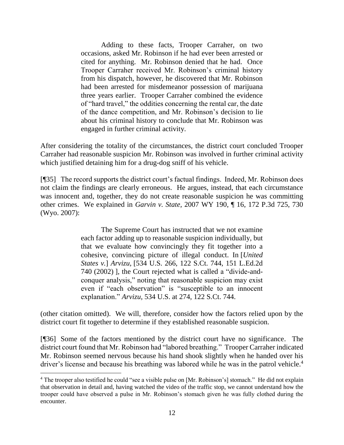Adding to these facts, Trooper Carraher, on two occasions, asked Mr. Robinson if he had ever been arrested or cited for anything. Mr. Robinson denied that he had. Once Trooper Carraher received Mr. Robinson's criminal history from his dispatch, however, he discovered that Mr. Robinson had been arrested for misdemeanor possession of marijuana three years earlier. Trooper Carraher combined the evidence of "hard travel," the oddities concerning the rental car, the date of the dance competition, and Mr. Robinson's decision to lie about his criminal history to conclude that Mr. Robinson was engaged in further criminal activity.

After considering the totality of the circumstances, the district court concluded Trooper Carraher had reasonable suspicion Mr. Robinson was involved in further criminal activity which justified detaining him for a drug-dog sniff of his vehicle.

[¶35] The record supports the district court's factual findings. Indeed, Mr. Robinson does not claim the findings are clearly erroneous. He argues, instead, that each circumstance was innocent and, together, they do not create reasonable suspicion he was committing other crimes. We explained in *Garvin v. State,* 2007 WY 190, ¶ 16, 172 P.3d 725, 730 (Wyo. 2007):

> The Supreme Court has instructed that we not examine each factor adding up to reasonable suspicion individually, but that we evaluate how convincingly they fit together into a cohesive, convincing picture of illegal conduct. In [*United States v.*] *Arvizu,* [534 U.S. 266, 122 S.Ct. 744, 151 L.Ed.2d 740 (2002) ], the Court rejected what is called a "divide-andconquer analysis," noting that reasonable suspicion may exist even if "each observation" is "susceptible to an innocent explanation." *Arvizu,* 534 U.S. at 274, 122 S.Ct. 744.

(other citation omitted). We will, therefore, consider how the factors relied upon by the district court fit together to determine if they established reasonable suspicion.

[¶36] Some of the factors mentioned by the district court have no significance. The district court found that Mr. Robinson had "labored breathing." Trooper Carraher indicated Mr. Robinson seemed nervous because his hand shook slightly when he handed over his driver's license and because his breathing was labored while he was in the patrol vehicle.<sup>4</sup>

<sup>&</sup>lt;sup>4</sup> The trooper also testified he could "see a visible pulse on [Mr. Robinson's] stomach." He did not explain that observation in detail and, having watched the video of the traffic stop, we cannot understand how the trooper could have observed a pulse in Mr. Robinson's stomach given he was fully clothed during the encounter.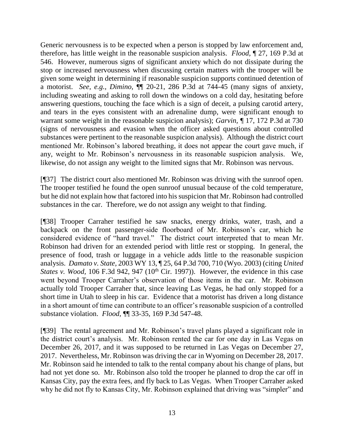Generic nervousness is to be expected when a person is stopped by law enforcement and, therefore, has little weight in the reasonable suspicion analysis. *Flood,* ¶ 27, 169 P.3d at 546. However, numerous signs of significant anxiety which do not dissipate during the stop or increased nervousness when discussing certain matters with the trooper will be given some weight in determining if reasonable suspicion supports continued detention of a motorist. *See, e.g., Dimino,* ¶¶ 20-21, 286 P.3d at 744-45 (many signs of anxiety, including sweating and asking to roll down the windows on a cold day, hesitating before answering questions, touching the face which is a sign of deceit, a pulsing carotid artery, and tears in the eyes consistent with an adrenaline dump, were significant enough to warrant some weight in the reasonable suspicion analysis); *Garvin,* ¶ 17, 172 P.3d at 730 (signs of nervousness and evasion when the officer asked questions about controlled substances were pertinent to the reasonable suspicion analysis). Although the district court mentioned Mr. Robinson's labored breathing, it does not appear the court gave much, if any, weight to Mr. Robinson's nervousness in its reasonable suspicion analysis. We, likewise, do not assign any weight to the limited signs that Mr. Robinson was nervous.

[¶37] The district court also mentioned Mr. Robinson was driving with the sunroof open. The trooper testified he found the open sunroof unusual because of the cold temperature, but he did not explain how that factored into his suspicion that Mr. Robinson had controlled substances in the car. Therefore, we do not assign any weight to that finding.

[¶38] Trooper Carraher testified he saw snacks, energy drinks, water, trash, and a backpack on the front passenger-side floorboard of Mr. Robinson's car, which he considered evidence of "hard travel." The district court interpreted that to mean Mr. Robinson had driven for an extended period with little rest or stopping. In general, the presence of food, trash or luggage in a vehicle adds little to the reasonable suspicion analysis. *Damato v. State,* 2003 WY 13, ¶ 25, 64 P.3d 700, 710 (Wyo. 2003) (citing *United States v. Wood,* 106 F.3d 942, 947 (10<sup>th</sup> Cir. 1997)). However, the evidence in this case went beyond Trooper Carraher's observation of those items in the car. Mr. Robinson actually told Trooper Carraher that, since leaving Las Vegas, he had only stopped for a short time in Utah to sleep in his car. Evidence that a motorist has driven a long distance in a short amount of time can contribute to an officer's reasonable suspicion of a controlled substance violation. *Flood,* ¶¶ 33-35, 169 P.3d 547-48.

[¶39] The rental agreement and Mr. Robinson's travel plans played a significant role in the district court's analysis. Mr. Robinson rented the car for one day in Las Vegas on December 26, 2017, and it was supposed to be returned in Las Vegas on December 27, 2017. Nevertheless, Mr. Robinson was driving the car in Wyoming on December 28, 2017. Mr. Robinson said he intended to talk to the rental company about his change of plans, but had not yet done so. Mr. Robinson also told the trooper he planned to drop the car off in Kansas City, pay the extra fees, and fly back to Las Vegas. When Trooper Carraher asked why he did not fly to Kansas City, Mr. Robinson explained that driving was "simpler" and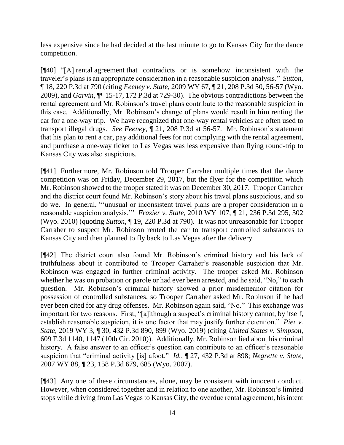less expensive since he had decided at the last minute to go to Kansas City for the dance competition.

[¶40] "[A] rental agreement that contradicts or is somehow inconsistent with the traveler's plans is an appropriate consideration in a reasonable suspicion analysis." *Sutton,*  ¶ 18, 220 P.3d at 790 (citing *Feeney v. State,* 2009 WY 67, ¶ 21, 208 P.3d 50, 56-57 (Wyo. 2009), and *Garvin,* ¶¶ 15-17, 172 P.3d at 729-30). The obvious contradictions between the rental agreement and Mr. Robinson's travel plans contribute to the reasonable suspicion in this case. Additionally, Mr. Robinson's change of plans would result in him renting the car for a one-way trip. We have recognized that one-way rental vehicles are often used to transport illegal drugs. *See Feeney,* ¶ 21, 208 P.3d at 56-57. Mr. Robinson's statement that his plan to rent a car, pay additional fees for not complying with the rental agreement, and purchase a one-way ticket to Las Vegas was less expensive than flying round-trip to Kansas City was also suspicious.

[¶41] Furthermore, Mr. Robinson told Trooper Carraher multiple times that the dance competition was on Friday, December 29, 2017, but the flyer for the competition which Mr. Robinson showed to the trooper stated it was on December 30, 2017. Trooper Carraher and the district court found Mr. Robinson's story about his travel plans suspicious, and so do we. In general, "'unusual or inconsistent travel plans are a proper consideration in a reasonable suspicion analysis.'" *Frazier v. State,* 2010 WY 107, ¶ 21, 236 P.3d 295, 302 (Wyo. 2010) (quoting *Sutton*, ¶ 19, 220 P.3d at 790). It was not unreasonable for Trooper Carraher to suspect Mr. Robinson rented the car to transport controlled substances to Kansas City and then planned to fly back to Las Vegas after the delivery.

[¶42] The district court also found Mr. Robinson's criminal history and his lack of truthfulness about it contributed to Trooper Carraher's reasonable suspicion that Mr. Robinson was engaged in further criminal activity. The trooper asked Mr. Robinson whether he was on probation or parole or had ever been arrested, and he said, "No," to each question. Mr. Robinson's criminal history showed a prior misdemeanor citation for possession of controlled substances, so Trooper Carraher asked Mr. Robinson if he had ever been cited for any drug offenses. Mr. Robinson again said, "No." This exchange was important for two reasons. First, "[a]lthough a suspect's criminal history cannot, by itself, establish reasonable suspicion, it is one factor that may justify further detention." *Pier v. State,* 2019 WY 3, ¶ 30, 432 P.3d 890, 899 (Wyo. 2019) (citing *United States v. Simpson,* 609 F.3d 1140, 1147 (10th Cir. 2010)). Additionally, Mr. Robinson lied about his criminal history. A false answer to an officer's question can contribute to an officer's reasonable suspicion that "criminal activity [is] afoot." *Id.,* ¶ 27, 432 P.3d at 898; *Negrette v. State,* 2007 WY 88, ¶ 23, 158 P.3d 679, 685 (Wyo. 2007).

[¶43] Any one of these circumstances, alone, may be consistent with innocent conduct. However, when considered together and in relation to one another, Mr. Robinson's limited stops while driving from Las Vegas to Kansas City, the overdue rental agreement, his intent